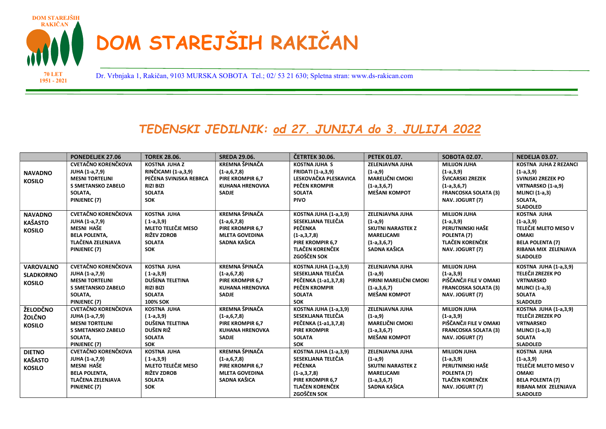

1951 - 2021

Dr. Vrbnjaka 1, Rakičan, 9103 MURSKA SOBOTA Tel.; 02/ 53 21 630; Spletna stran: www.ds-rakican.com 70 LET

## TEDENSKI JEDILNIK: od 27. JUNIJA do 3. JULIJA 2022

|                                                       | <b>PONEDELJEK 27.06</b>                                                                                                               | <b>TOREK 28.06.</b>                                                                                                     | <b>SREDA 29.06.</b>                                                                                     | ČETRTEK 30.06.                                                                                                                                     | <b>PETEK 01.07.</b>                                                                                             | SOBOTA 02.07.                                                                                                             | <b>NEDELJA 03.07.</b>                                                                                                                           |
|-------------------------------------------------------|---------------------------------------------------------------------------------------------------------------------------------------|-------------------------------------------------------------------------------------------------------------------------|---------------------------------------------------------------------------------------------------------|----------------------------------------------------------------------------------------------------------------------------------------------------|-----------------------------------------------------------------------------------------------------------------|---------------------------------------------------------------------------------------------------------------------------|-------------------------------------------------------------------------------------------------------------------------------------------------|
| <b>NAVADNO</b><br><b>KOSILO</b>                       | <b>CVETAČNO KORENČKOVA</b><br>JUHA (1-a, 7, 9)<br><b>MESNI TORTELINI</b><br>S SMETANSKO ZABELO<br>SOLATA,<br>PINJENEC (7)             | <b>KOSTNA JUHAZ</b><br>RINČICAMI (1-a,3,9)<br>PEČENA SVINJSKA REBRCA<br><b>RIZI BIZI</b><br><b>SOLATA</b><br><b>SOK</b> | <b>KREMNA ŠPINAČA</b><br>$(1-a,6,7,8)$<br>PIRE KROMPIR 6,7<br><b>KUHANA HRENOVKA</b><br><b>SADJE</b>    | <b>KOSTNA JUHA S</b><br><b>FRIDATI (1-a,3,9)</b><br>LESKOVAČKA PLESKAVICA<br>PEČEN KROMPIR<br><b>SOLATA</b><br><b>PIVO</b>                         | ZELENJAVNA JUHA<br>$(1-a, 9)$<br><b>MARELIČNI CMOKI</b><br>$(1-a,3,6,7)$<br><b>MEŠANI KOMPOT</b>                | <b>MILIJON JUHA</b><br>$(1-a,3,9)$<br>ŠVICARSKI ZREZEK<br>$(1-a,3,6,7)$<br><b>FRANCOSKA SOLATA (3)</b><br>NAV. JOGURT (7) | <b>KOSTNA JUHA Z REZANCI</b><br>$(1-a,3,9)$<br>SVINJSKI ZREZEK PO<br>VRTNARSKO (1-a,9)<br><b>MLINCI</b> (1-a,3)<br>SOLATA,<br><b>SLADOLED</b>   |
| <b>NAVADNO</b><br><b>KAŠASTO</b><br><b>KOSILO</b>     | <b>CVETAČNO KORENČKOVA</b><br>JUHA (1-a, 7, 9)<br>MESNI HAŠE<br><b>BELA POLENTA.</b><br><b>TLAČENA ZELENJAVA</b><br>PINJENEC (7)      | <b>KOSTNA JUHA</b><br>$(1-a,3,9)$<br><b>MLETO TELEČJE MESO</b><br><b>RIŽEV ZDROB</b><br><b>SOLATA</b><br><b>SOK</b>     | <b>KREMNA ŠPINAČA</b><br>$(1-a,6,7,8)$<br>PIRE KROMPIR 6,7<br><b>MLETA GOVEDINA</b><br>SADNA KAŠICA     | KOSTNA JUHA (1-a,3,9)<br>SESEKLJANA TELEČJA<br>PEČENKA<br>$(1-a,3,7,8)$<br>PIRE KROMPIR 6,7<br><b>TLAČEN KORENČEK</b><br>ZGOŠČEN SOK               | ZELENJAVNA JUHA<br>$(1-a, 9)$<br><b>SKUTNI NARASTEK Z</b><br><b>MARELICAMI</b><br>$(1-a,3,6,7)$<br>SADNA KAŠICA | <b>MILIJON JUHA</b><br>$(1-a,3,9)$<br>PERUTNINSKI HAŠE<br>POLENTA (7)<br><b>TLAČEN KORENČEK</b><br>NAV. JOGURT (7)        | <b>KOSTNA JUHA</b><br>$(1-a,3,9)$<br>TELEČJE MLETO MESO V<br><b>OMAKI</b><br><b>BELA POLENTA (7)</b><br>RIBANA MIX ZELENJAVA<br><b>SLADOLED</b> |
| <b>VAROVALNO</b><br><b>SLADKORNO</b><br><b>KOSILO</b> | <b>CVETAČNO KORENČKOVA</b><br>JUHA (1-a, 7, 9)<br><b>MESNI TORTELINI</b><br>S SMETANSKO ZABELO<br>SOLATA,<br>PINJENEC (7)             | <b>KOSTNA JUHA</b><br>$(1-a,3,9)$<br>DUŠENA TELETINA<br><b>RIZI BIZI</b><br><b>SOLATA</b><br><b>100% SOK</b>            | <b>KREMNA ŠPINAČA</b><br>$(1-a, 6, 7, 8)$<br>PIRE KROMPIR 6,7<br><b>KUHANA HRENOVKA</b><br><b>SADJE</b> | <b>KOSTNA JUHA (1-a,3,9)</b><br>SESEKLJANA TELEČJA<br>PEČENKA (1-a1,3,7,8)<br>PEČEN KROMPIR<br><b>SOLATA</b><br><b>SOK</b>                         | ZELENJAVNA JUHA<br>$(1-a, 9)$<br>PIRINI MARELIČNI CMOKI<br>$(1-a,3,6,7)$<br><b>MEŠANI KOMPOT</b>                | <b>MILIJON JUHA</b><br>$(1-a,3,9)$<br>PIŠČANČJI FILE V OMAKI<br><b>FRANCOSKA SOLATA (3)</b><br>NAV. JOGURT (7)            | <b>KOSTNA JUHA (1-a,3,9)</b><br>TELEČJI ZREZEK PO<br><b>VRTNARSKO</b><br><b>MLINCI</b> (1-a,3)<br><b>SOLATA</b><br><b>SLADOLED</b>              |
| ŽELODČNO<br>ŽOLČNO<br><b>KOSILO</b>                   | <b>CVETAČNO KORENČKOVA</b><br>JUHA (1-a, 7, 9)<br><b>MESNI TORTELINI</b><br>S SMETANSKO ZABELO<br>SOLATA,<br>PINJENEC (7)             | <b>KOSTNA JUHA</b><br>$(1-a,3,9)$<br><b>DUŠENA TELETINA</b><br>DUŠEN RIŽ<br><b>SOLATA</b><br><b>SOK</b>                 | <b>KREMNA ŠPINAČA</b><br>$(1-a, 6, 7, 8)$<br>PIRE KROMPIR 6,7<br><b>KUHANA HRENOVKA</b><br><b>SADJE</b> | <b>KOSTNA JUHA (1-a,3,9)</b><br>SESEKLJANA TELEČJA<br>PEČENKA (1-a1,3,7,8)<br><b>PIRE KROMPIR</b><br><b>SOLATA</b><br><b>SOK</b>                   | ZELENJAVNA JUHA<br>$(1-a, 9)$<br><b>MARELIČNI CMOKI</b><br>$(1-a,3,6,7)$<br><b>MEŠANI KOMPOT</b>                | <b>MILIJON JUHA</b><br>$(1-a,3,9)$<br>PIŠČANČJI FILE V OMAKI<br><b>FRANCOSKA SOLATA (3)</b><br>NAV. JOGURT (7)            | <b>KOSTNA JUHA (1-a,3,9)</b><br>TELEČJI ZREZEK PO<br><b>VRTNARSKO</b><br><b>MLINCI</b> (1-a,3)<br><b>SOLATA</b><br><b>SLADOLED</b>              |
| <b>DIETNO</b><br><b>KAŠASTO</b><br><b>KOSILO</b>      | <b>CVETAČNO KORENČKOVA</b><br>JUHA (1-a,7,9)<br><b>MESNI HAŠE</b><br><b>BELA POLENTA,</b><br><b>TLAČENA ZELENJAVA</b><br>PINJENEC (7) | <b>KOSTNA JUHA</b><br>$(1-a,3,9)$<br><b>MLETO TELEČJE MESO</b><br>RIŽEV ZDROB<br><b>SOLATA</b><br><b>SOK</b>            | <b>KREMNA ŠPINAČA</b><br>$(1-a,6,7,8)$<br>PIRE KROMPIR 6,7<br><b>MLETA GOVEDINA</b><br>SADNA KAŠICA     | <b>KOSTNA JUHA (1-a,3,9)</b><br>SESEKLJANA TELEČJA<br><b>PEČENKA</b><br>$(1-a,3,7,8)$<br>PIRE KROMPIR 6,7<br><b>TLAČEN KORENČEK</b><br>ZGOŠČEN SOK | ZELENJAVNA JUHA<br>$(1-a, 9)$<br><b>SKUTNI NARASTEK Z</b><br><b>MARELICAMI</b><br>$(1-a,3,6,7)$<br>SADNA KAŠICA | <b>MILIJON JUHA</b><br>$(1-a,3,9)$<br>PERUTNINSKI HAŠE<br>POLENTA (7)<br><b>TLAČEN KORENČEK</b><br>NAV. JOGURT (7)        | <b>KOSTNA JUHA</b><br>$(1-a,3,9)$<br>TELEČJE MLETO MESO V<br><b>OMAKI</b><br><b>BELA POLENTA (7)</b><br>RIBANA MIX ZELENJAVA<br><b>SLADOLED</b> |